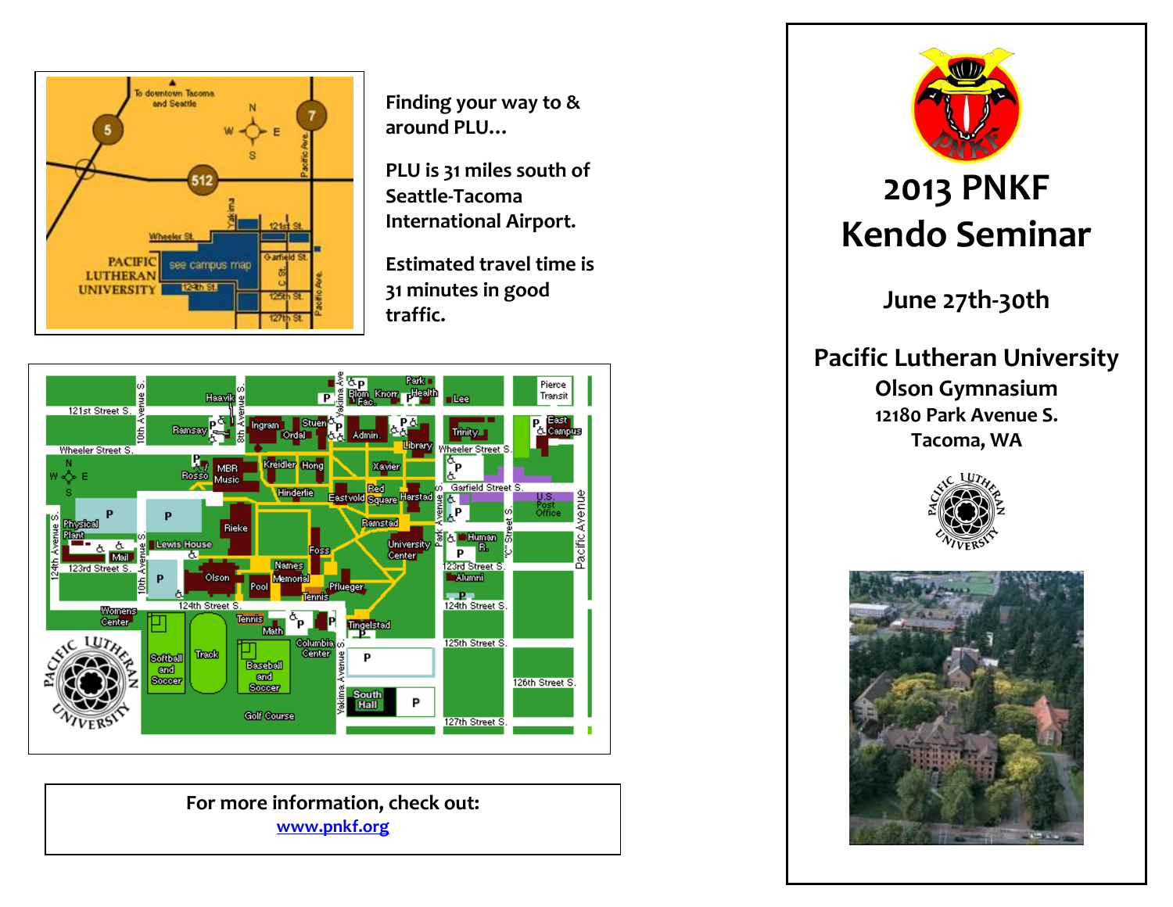

**Finding your way to & around PLU…**

**PLU is 31 miles south of Seattle-Tacoma International Airport.**

**Estimated travel time is 31 minutes in good traffic.**



**For more information, check out: [www.pnkf.org](http://www.kendocamp.com/)**



# **2013 PNKF Kendo Seminar**

**June 27th-30th**

**Pacific Lutheran University Olson Gymnasium 12180 Park Avenue S. Tacoma, WA**